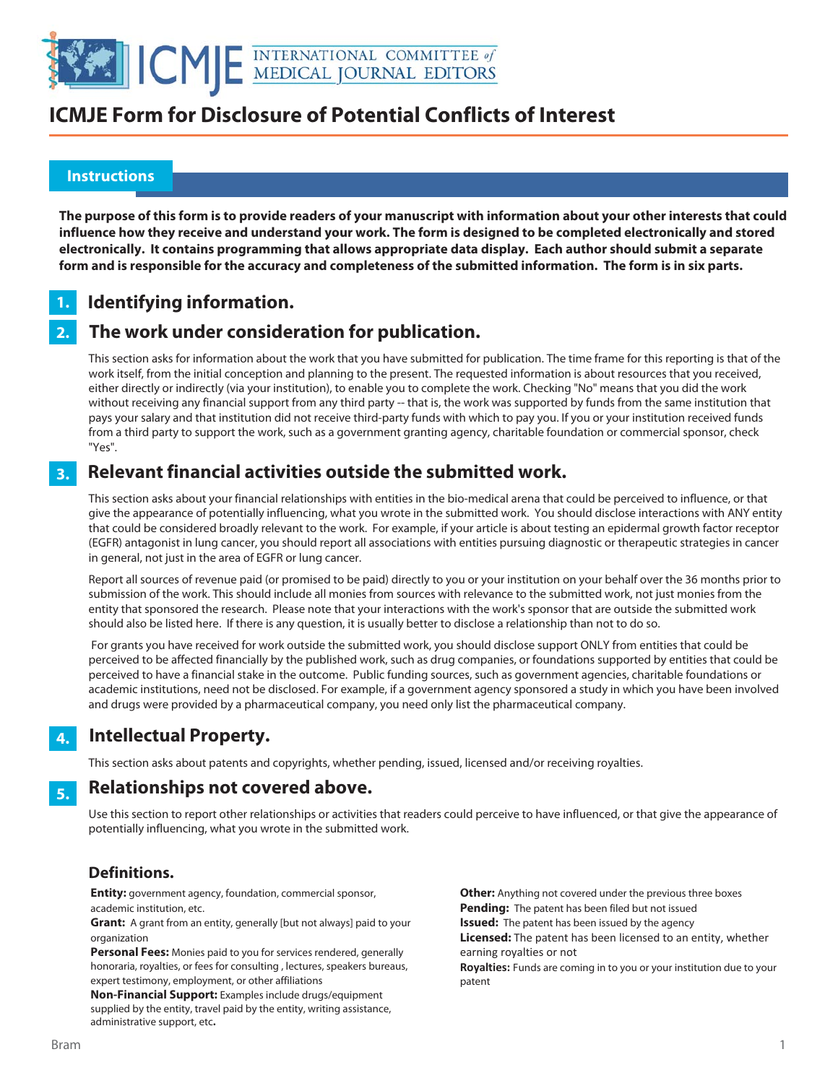

#### **Instructions**

 

> **The purpose of this form is to provide readers of your manuscript with information about your other interests that could influence how they receive and understand your work. The form is designed to be completed electronically and stored electronically. It contains programming that allows appropriate data display. Each author should submit a separate form and is responsible for the accuracy and completeness of the submitted information. The form is in six parts.**

#### **Identifying information. 1.**

#### **The work under consideration for publication. 2.**

This section asks for information about the work that you have submitted for publication. The time frame for this reporting is that of the work itself, from the initial conception and planning to the present. The requested information is about resources that you received, either directly or indirectly (via your institution), to enable you to complete the work. Checking "No" means that you did the work without receiving any financial support from any third party -- that is, the work was supported by funds from the same institution that pays your salary and that institution did not receive third-party funds with which to pay you. If you or your institution received funds from a third party to support the work, such as a government granting agency, charitable foundation or commercial sponsor, check "Yes".

#### **Relevant financial activities outside the submitted work. 3.**

This section asks about your financial relationships with entities in the bio-medical arena that could be perceived to influence, or that give the appearance of potentially influencing, what you wrote in the submitted work. You should disclose interactions with ANY entity that could be considered broadly relevant to the work. For example, if your article is about testing an epidermal growth factor receptor (EGFR) antagonist in lung cancer, you should report all associations with entities pursuing diagnostic or therapeutic strategies in cancer in general, not just in the area of EGFR or lung cancer.

Report all sources of revenue paid (or promised to be paid) directly to you or your institution on your behalf over the 36 months prior to submission of the work. This should include all monies from sources with relevance to the submitted work, not just monies from the entity that sponsored the research. Please note that your interactions with the work's sponsor that are outside the submitted work should also be listed here. If there is any question, it is usually better to disclose a relationship than not to do so.

 For grants you have received for work outside the submitted work, you should disclose support ONLY from entities that could be perceived to be affected financially by the published work, such as drug companies, or foundations supported by entities that could be perceived to have a financial stake in the outcome. Public funding sources, such as government agencies, charitable foundations or academic institutions, need not be disclosed. For example, if a government agency sponsored a study in which you have been involved and drugs were provided by a pharmaceutical company, you need only list the pharmaceutical company.

#### **Intellectual Property. 4.**

This section asks about patents and copyrights, whether pending, issued, licensed and/or receiving royalties.

#### **Relationships not covered above. 5.**

Use this section to report other relationships or activities that readers could perceive to have influenced, or that give the appearance of potentially influencing, what you wrote in the submitted work.

#### **Definitions.**

**Entity:** government agency, foundation, commercial sponsor, academic institution, etc.

**Grant:** A grant from an entity, generally [but not always] paid to your organization

**Personal Fees:** Monies paid to you for services rendered, generally honoraria, royalties, or fees for consulting , lectures, speakers bureaus, expert testimony, employment, or other affiliations

**Non-Financial Support:** Examples include drugs/equipment supplied by the entity, travel paid by the entity, writing assistance, administrative support, etc**.**

**Other:** Anything not covered under the previous three boxes **Pending:** The patent has been filed but not issued **Issued:** The patent has been issued by the agency **Licensed:** The patent has been licensed to an entity, whether earning royalties or not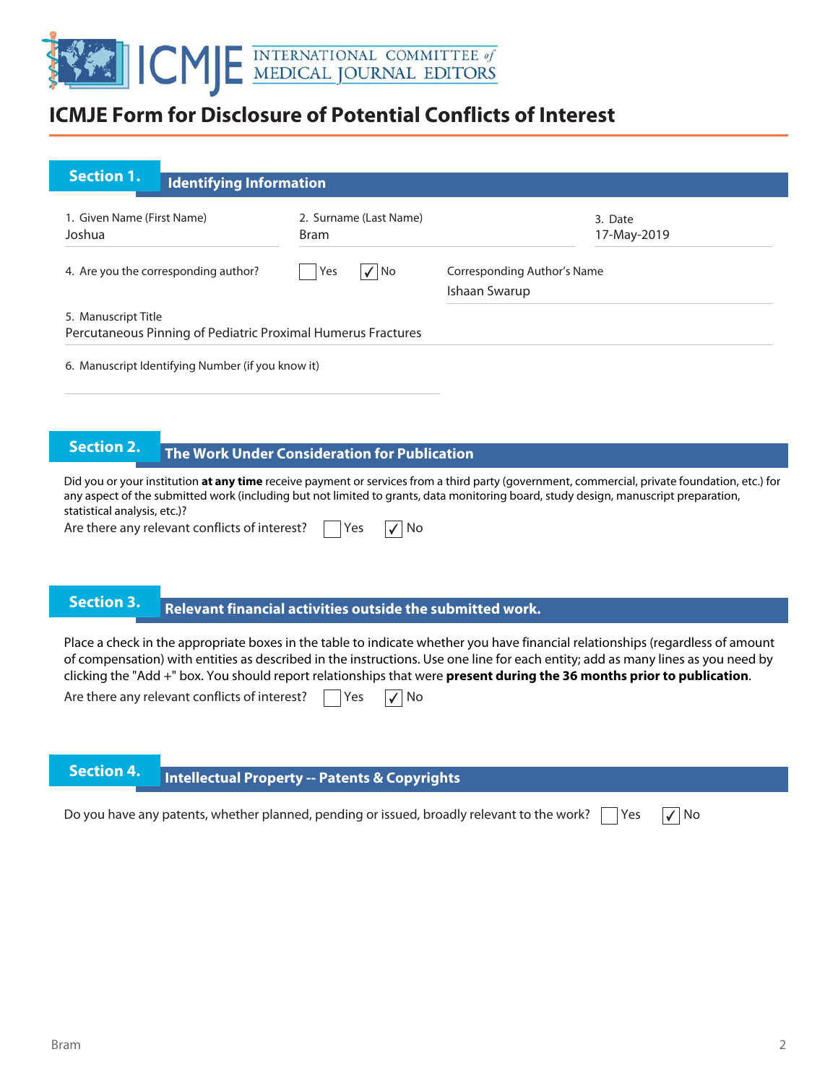

| <b>Section 1.</b>                                 | <b>Identifying Information</b>                               |             |                        |                                              |                        |
|---------------------------------------------------|--------------------------------------------------------------|-------------|------------------------|----------------------------------------------|------------------------|
| 1. Given Name (First Name)<br>Joshua              |                                                              | <b>Bram</b> | 2. Surname (Last Name) |                                              | 3. Date<br>17-May-2019 |
| 4. Are you the corresponding author?              |                                                              | Yes         | No<br>✓                | Corresponding Author's Name<br>Ishaan Swarup |                        |
| 5. Manuscript Title                               | Percutaneous Pinning of Pediatric Proximal Humerus Fractures |             |                        |                                              |                        |
| 6. Manuscript Identifying Number (if you know it) |                                                              |             |                        |                                              |                        |

# **The Work Under Consideration for Publication**

Did you or your institution **at any time** receive payment or services from a third party (government, commercial, private foundation, etc.) for any aspect of the submitted work (including but not limited to grants, data monitoring board, study design, manuscript preparation, statistical analysis, etc.)?

Are there any relevant conflicts of interest?  $\Box$  Yes

|  | ۰.<br>× |
|--|---------|
|--|---------|

# **Relevant financial activities outside the submitted work. Section 3. Relevant financial activities outset**

Place a check in the appropriate boxes in the table to indicate whether you have financial relationships (regardless of amount of compensation) with entities as described in the instructions. Use one line for each entity; add as many lines as you need by clicking the "Add +" box. You should report relationships that were **present during the 36 months prior to publication**.

Are there any relevant conflicts of interest?  $\Box$  Yes  $\Box$  No

### **Intellectual Property -- Patents & Copyrights**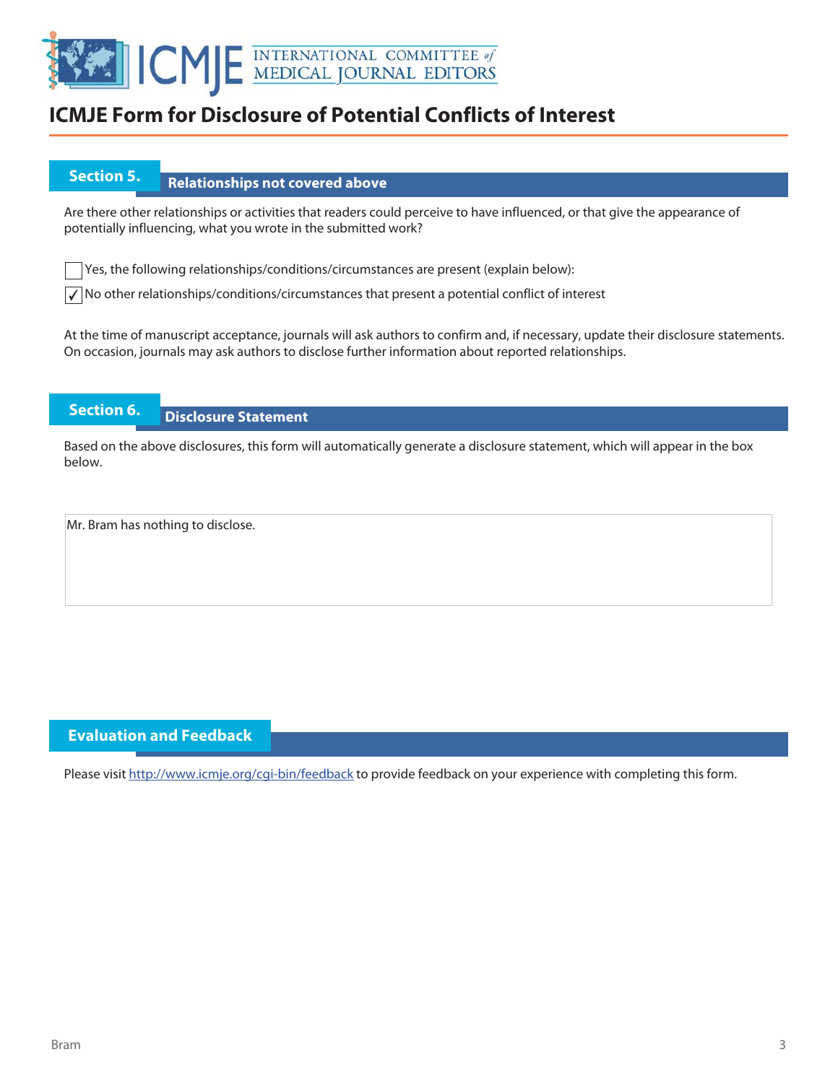

### **Section 5.** Relationships not covered above

Are there other relationships or activities that readers could perceive to have influenced, or that give the appearance of potentially influencing, what you wrote in the submitted work?

Yes, the following relationships/conditions/circumstances are present (explain below):

 $\sqrt{\ }$  No other relationships/conditions/circumstances that present a potential conflict of interest

At the time of manuscript acceptance, journals will ask authors to confirm and, if necessary, update their disclosure statements. On occasion, journals may ask authors to disclose further information about reported relationships.

### **Section 6. Disclosure Statement**

Based on the above disclosures, this form will automatically generate a disclosure statement, which will appear in the box below.

Mr. Bram has nothing to disclose.

#### **Evaluation and Feedback**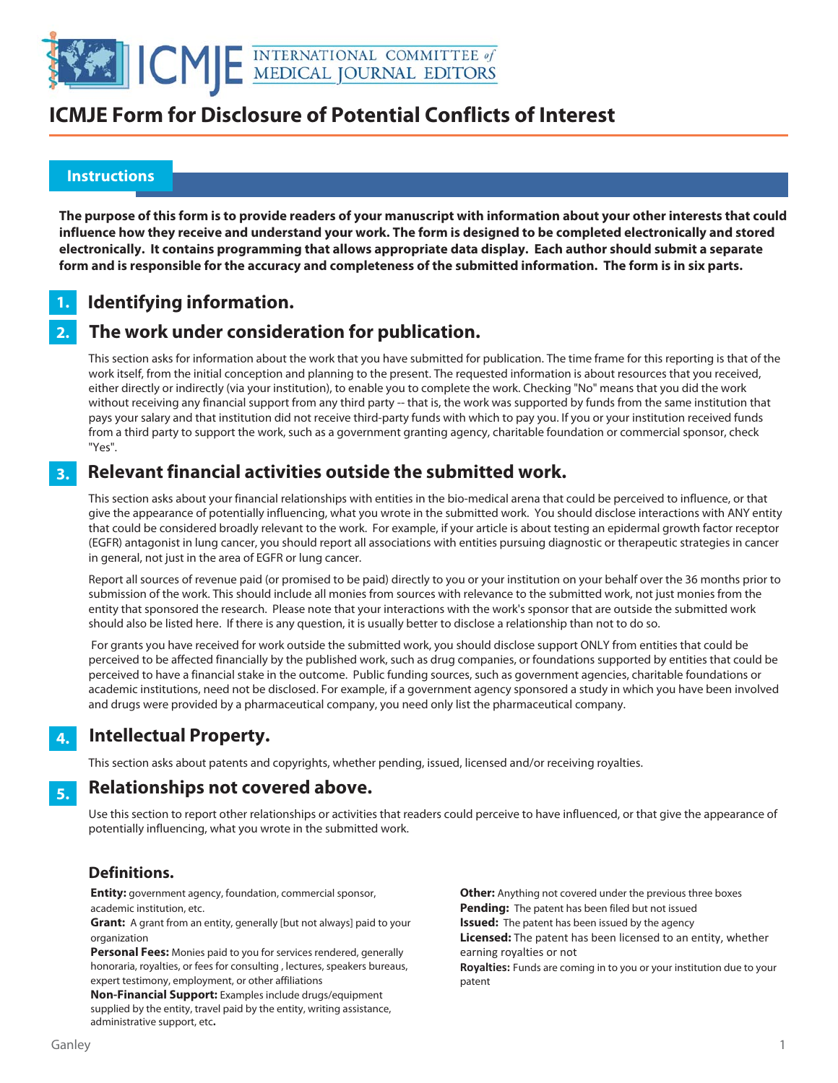

#### **Instructions**

 

> **The purpose of this form is to provide readers of your manuscript with information about your other interests that could influence how they receive and understand your work. The form is designed to be completed electronically and stored electronically. It contains programming that allows appropriate data display. Each author should submit a separate form and is responsible for the accuracy and completeness of the submitted information. The form is in six parts.**

#### **Identifying information. 1.**

#### **The work under consideration for publication. 2.**

This section asks for information about the work that you have submitted for publication. The time frame for this reporting is that of the work itself, from the initial conception and planning to the present. The requested information is about resources that you received, either directly or indirectly (via your institution), to enable you to complete the work. Checking "No" means that you did the work without receiving any financial support from any third party -- that is, the work was supported by funds from the same institution that pays your salary and that institution did not receive third-party funds with which to pay you. If you or your institution received funds from a third party to support the work, such as a government granting agency, charitable foundation or commercial sponsor, check "Yes".

#### **Relevant financial activities outside the submitted work. 3.**

This section asks about your financial relationships with entities in the bio-medical arena that could be perceived to influence, or that give the appearance of potentially influencing, what you wrote in the submitted work. You should disclose interactions with ANY entity that could be considered broadly relevant to the work. For example, if your article is about testing an epidermal growth factor receptor (EGFR) antagonist in lung cancer, you should report all associations with entities pursuing diagnostic or therapeutic strategies in cancer in general, not just in the area of EGFR or lung cancer.

Report all sources of revenue paid (or promised to be paid) directly to you or your institution on your behalf over the 36 months prior to submission of the work. This should include all monies from sources with relevance to the submitted work, not just monies from the entity that sponsored the research. Please note that your interactions with the work's sponsor that are outside the submitted work should also be listed here. If there is any question, it is usually better to disclose a relationship than not to do so.

 For grants you have received for work outside the submitted work, you should disclose support ONLY from entities that could be perceived to be affected financially by the published work, such as drug companies, or foundations supported by entities that could be perceived to have a financial stake in the outcome. Public funding sources, such as government agencies, charitable foundations or academic institutions, need not be disclosed. For example, if a government agency sponsored a study in which you have been involved and drugs were provided by a pharmaceutical company, you need only list the pharmaceutical company.

#### **Intellectual Property. 4.**

This section asks about patents and copyrights, whether pending, issued, licensed and/or receiving royalties.

#### **Relationships not covered above. 5.**

Use this section to report other relationships or activities that readers could perceive to have influenced, or that give the appearance of potentially influencing, what you wrote in the submitted work.

#### **Definitions.**

**Entity:** government agency, foundation, commercial sponsor, academic institution, etc.

**Grant:** A grant from an entity, generally [but not always] paid to your organization

**Personal Fees:** Monies paid to you for services rendered, generally honoraria, royalties, or fees for consulting , lectures, speakers bureaus, expert testimony, employment, or other affiliations

**Non-Financial Support:** Examples include drugs/equipment supplied by the entity, travel paid by the entity, writing assistance, administrative support, etc**.**

**Other:** Anything not covered under the previous three boxes **Pending:** The patent has been filed but not issued **Issued:** The patent has been issued by the agency **Licensed:** The patent has been licensed to an entity, whether earning royalties or not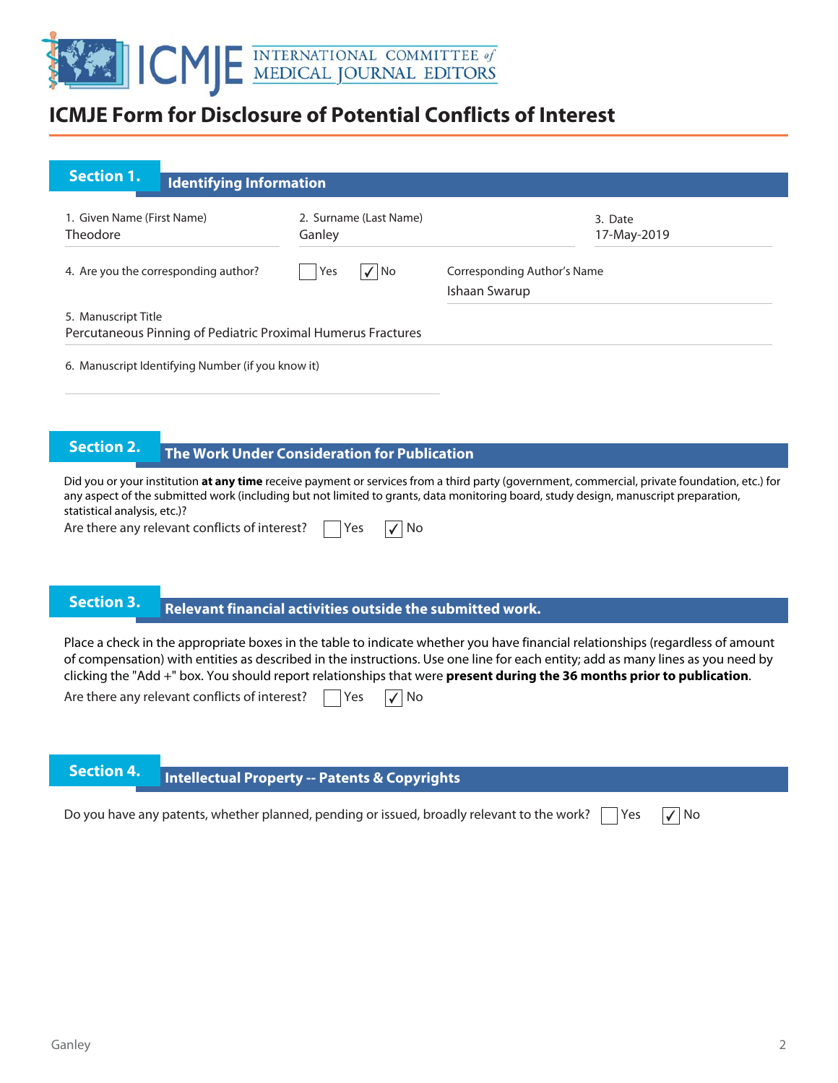

| <b>Section 1.</b>                      | <b>Identifying Information</b>                               |        |                        |                                              |                        |
|----------------------------------------|--------------------------------------------------------------|--------|------------------------|----------------------------------------------|------------------------|
| 1. Given Name (First Name)<br>Theodore |                                                              | Ganley | 2. Surname (Last Name) |                                              | 3. Date<br>17-May-2019 |
| 4. Are you the corresponding author?   |                                                              | Yes    | No<br>$\checkmark$     | Corresponding Author's Name<br>Ishaan Swarup |                        |
| 5. Manuscript Title                    | Percutaneous Pinning of Pediatric Proximal Humerus Fractures |        |                        |                                              |                        |
|                                        | 6. Manuscript Identifying Number (if you know it)            |        |                        |                                              |                        |

# **The Work Under Consideration for Publication**

Did you or your institution **at any time** receive payment or services from a third party (government, commercial, private foundation, etc.) for any aspect of the submitted work (including but not limited to grants, data monitoring board, study design, manuscript preparation, statistical analysis, etc.)?

Are there any relevant conflicts of interest?  $\Box$  Yes  $\Box$  No

# **Relevant financial activities outside the submitted work. Section 3. Relevant financial activities outset**

Place a check in the appropriate boxes in the table to indicate whether you have financial relationships (regardless of amount of compensation) with entities as described in the instructions. Use one line for each entity; add as many lines as you need by clicking the "Add +" box. You should report relationships that were **present during the 36 months prior to publication**.

Are there any relevant conflicts of interest?  $\Box$  Yes  $\Box$  No

# **Intellectual Property -- Patents & Copyrights**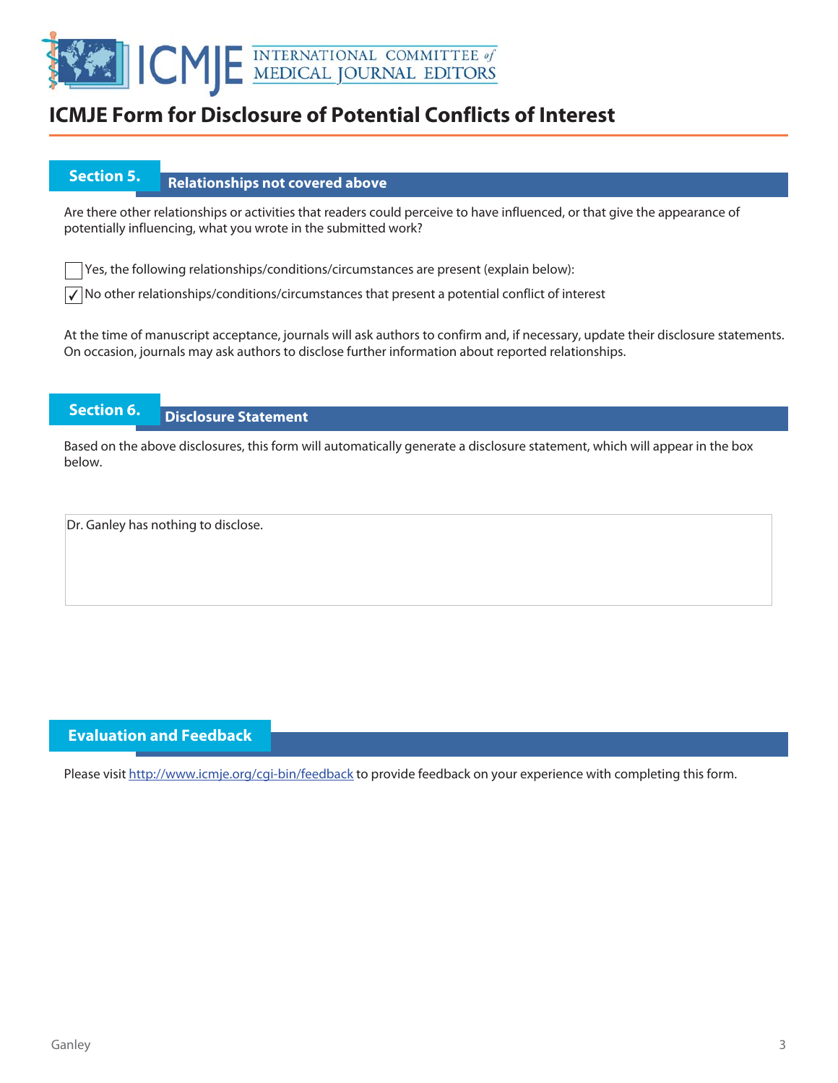

### **Section 5.** Relationships not covered above

Are there other relationships or activities that readers could perceive to have influenced, or that give the appearance of potentially influencing, what you wrote in the submitted work?

Yes, the following relationships/conditions/circumstances are present (explain below):

 $\sqrt{\ }$  No other relationships/conditions/circumstances that present a potential conflict of interest

At the time of manuscript acceptance, journals will ask authors to confirm and, if necessary, update their disclosure statements. On occasion, journals may ask authors to disclose further information about reported relationships.

### **Section 6. Disclosure Statement**

Based on the above disclosures, this form will automatically generate a disclosure statement, which will appear in the box below.

Dr. Ganley has nothing to disclose.

#### **Evaluation and Feedback**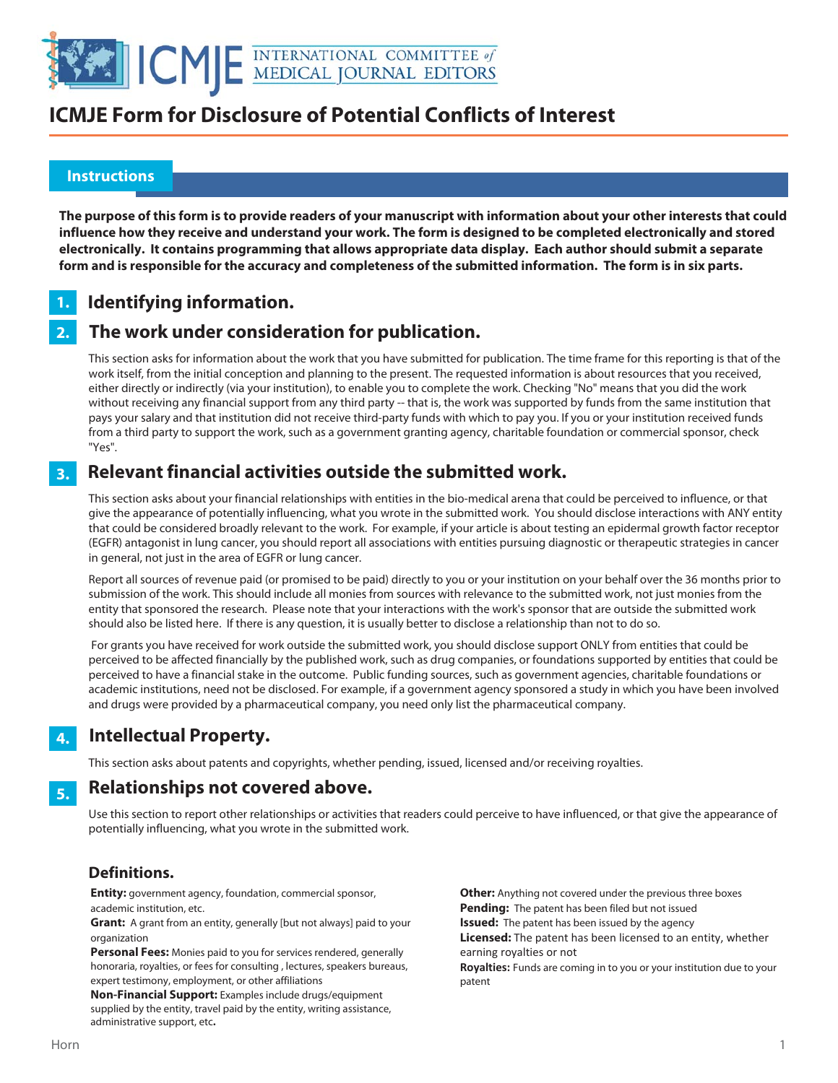

#### **Instructions**

 

> **The purpose of this form is to provide readers of your manuscript with information about your other interests that could influence how they receive and understand your work. The form is designed to be completed electronically and stored electronically. It contains programming that allows appropriate data display. Each author should submit a separate form and is responsible for the accuracy and completeness of the submitted information. The form is in six parts.**

#### **Identifying information. 1.**

#### **The work under consideration for publication. 2.**

This section asks for information about the work that you have submitted for publication. The time frame for this reporting is that of the work itself, from the initial conception and planning to the present. The requested information is about resources that you received, either directly or indirectly (via your institution), to enable you to complete the work. Checking "No" means that you did the work without receiving any financial support from any third party -- that is, the work was supported by funds from the same institution that pays your salary and that institution did not receive third-party funds with which to pay you. If you or your institution received funds from a third party to support the work, such as a government granting agency, charitable foundation or commercial sponsor, check "Yes".

#### **Relevant financial activities outside the submitted work. 3.**

This section asks about your financial relationships with entities in the bio-medical arena that could be perceived to influence, or that give the appearance of potentially influencing, what you wrote in the submitted work. You should disclose interactions with ANY entity that could be considered broadly relevant to the work. For example, if your article is about testing an epidermal growth factor receptor (EGFR) antagonist in lung cancer, you should report all associations with entities pursuing diagnostic or therapeutic strategies in cancer in general, not just in the area of EGFR or lung cancer.

Report all sources of revenue paid (or promised to be paid) directly to you or your institution on your behalf over the 36 months prior to submission of the work. This should include all monies from sources with relevance to the submitted work, not just monies from the entity that sponsored the research. Please note that your interactions with the work's sponsor that are outside the submitted work should also be listed here. If there is any question, it is usually better to disclose a relationship than not to do so.

 For grants you have received for work outside the submitted work, you should disclose support ONLY from entities that could be perceived to be affected financially by the published work, such as drug companies, or foundations supported by entities that could be perceived to have a financial stake in the outcome. Public funding sources, such as government agencies, charitable foundations or academic institutions, need not be disclosed. For example, if a government agency sponsored a study in which you have been involved and drugs were provided by a pharmaceutical company, you need only list the pharmaceutical company.

#### **Intellectual Property. 4.**

This section asks about patents and copyrights, whether pending, issued, licensed and/or receiving royalties.

#### **Relationships not covered above. 5.**

Use this section to report other relationships or activities that readers could perceive to have influenced, or that give the appearance of potentially influencing, what you wrote in the submitted work.

#### **Definitions.**

**Entity:** government agency, foundation, commercial sponsor, academic institution, etc.

**Grant:** A grant from an entity, generally [but not always] paid to your organization

**Personal Fees:** Monies paid to you for services rendered, generally honoraria, royalties, or fees for consulting , lectures, speakers bureaus, expert testimony, employment, or other affiliations

**Non-Financial Support:** Examples include drugs/equipment supplied by the entity, travel paid by the entity, writing assistance, administrative support, etc**.**

**Other:** Anything not covered under the previous three boxes **Pending:** The patent has been filed but not issued **Issued:** The patent has been issued by the agency **Licensed:** The patent has been licensed to an entity, whether earning royalties or not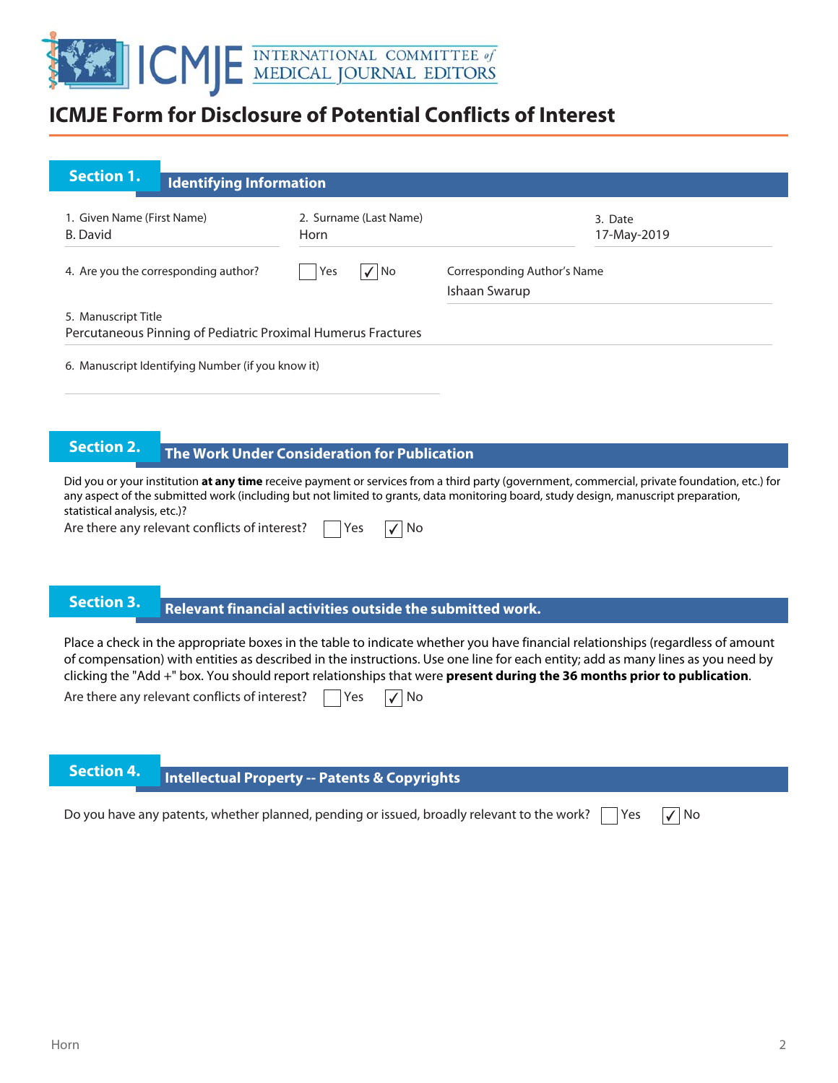

| <b>Section 1.</b>                             | <b>Identifying Information</b>                               |      |                        |                                              |                        |
|-----------------------------------------------|--------------------------------------------------------------|------|------------------------|----------------------------------------------|------------------------|
| 1. Given Name (First Name)<br><b>B.</b> David |                                                              | Horn | 2. Surname (Last Name) |                                              | 3. Date<br>17-May-2019 |
| 4. Are you the corresponding author?          |                                                              | Yes  | $\sqrt{ N_{0}}$        | Corresponding Author's Name<br>Ishaan Swarup |                        |
| 5. Manuscript Title                           | Percutaneous Pinning of Pediatric Proximal Humerus Fractures |      |                        |                                              |                        |
|                                               | 6. Manuscript Identifying Number (if you know it)            |      |                        |                                              |                        |

# **The Work Under Consideration for Publication**

Did you or your institution **at any time** receive payment or services from a third party (government, commercial, private foundation, etc.) for any aspect of the submitted work (including but not limited to grants, data monitoring board, study design, manuscript preparation, statistical analysis, etc.)?

Are there any relevant conflicts of interest?  $\Box$  Yes

|  | ۰.<br>× |
|--|---------|
|--|---------|

# **Relevant financial activities outside the submitted work. Section 3. Relevant financial activities outset**

Place a check in the appropriate boxes in the table to indicate whether you have financial relationships (regardless of amount of compensation) with entities as described in the instructions. Use one line for each entity; add as many lines as you need by clicking the "Add +" box. You should report relationships that were **present during the 36 months prior to publication**.

Are there any relevant conflicts of interest?  $\Box$  Yes  $\Box$  No

### **Intellectual Property -- Patents & Copyrights**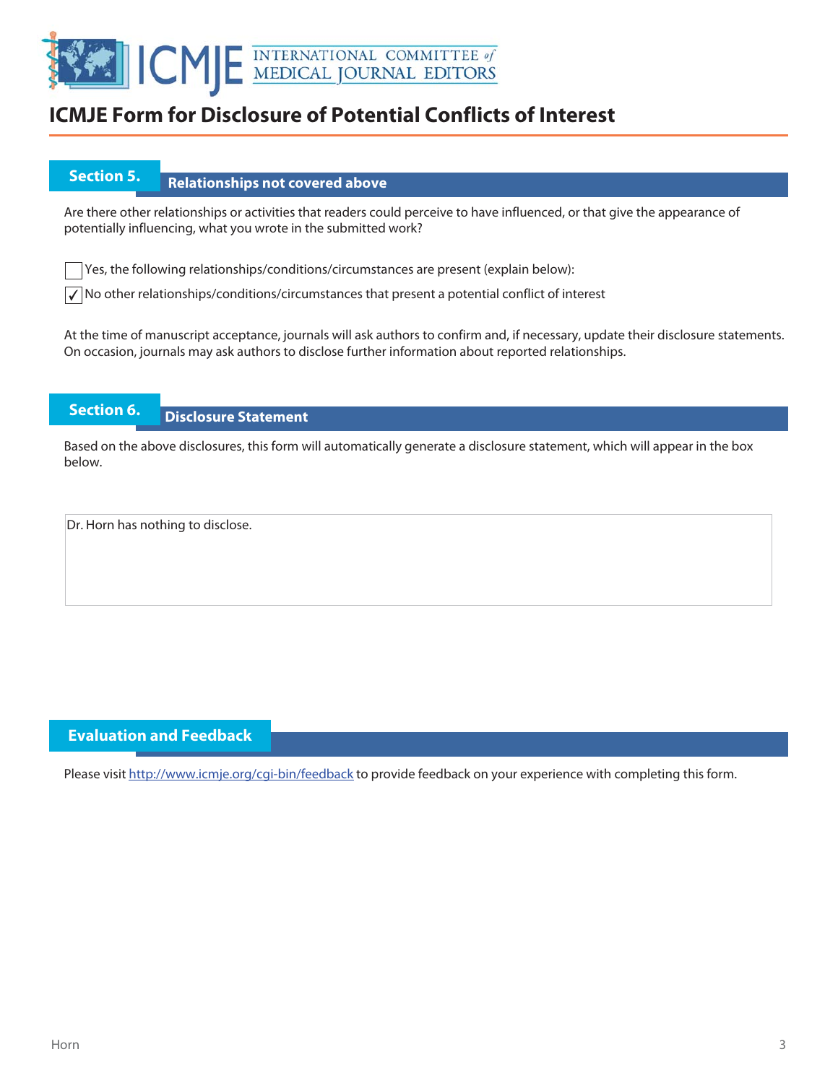

### **Section 5.** Relationships not covered above

Are there other relationships or activities that readers could perceive to have influenced, or that give the appearance of potentially influencing, what you wrote in the submitted work?

Yes, the following relationships/conditions/circumstances are present (explain below):

 $\sqrt{\ }$  No other relationships/conditions/circumstances that present a potential conflict of interest

At the time of manuscript acceptance, journals will ask authors to confirm and, if necessary, update their disclosure statements. On occasion, journals may ask authors to disclose further information about reported relationships.

### **Section 6. Disclosure Statement**

Based on the above disclosures, this form will automatically generate a disclosure statement, which will appear in the box below.

Dr. Horn has nothing to disclose.

#### **Evaluation and Feedback**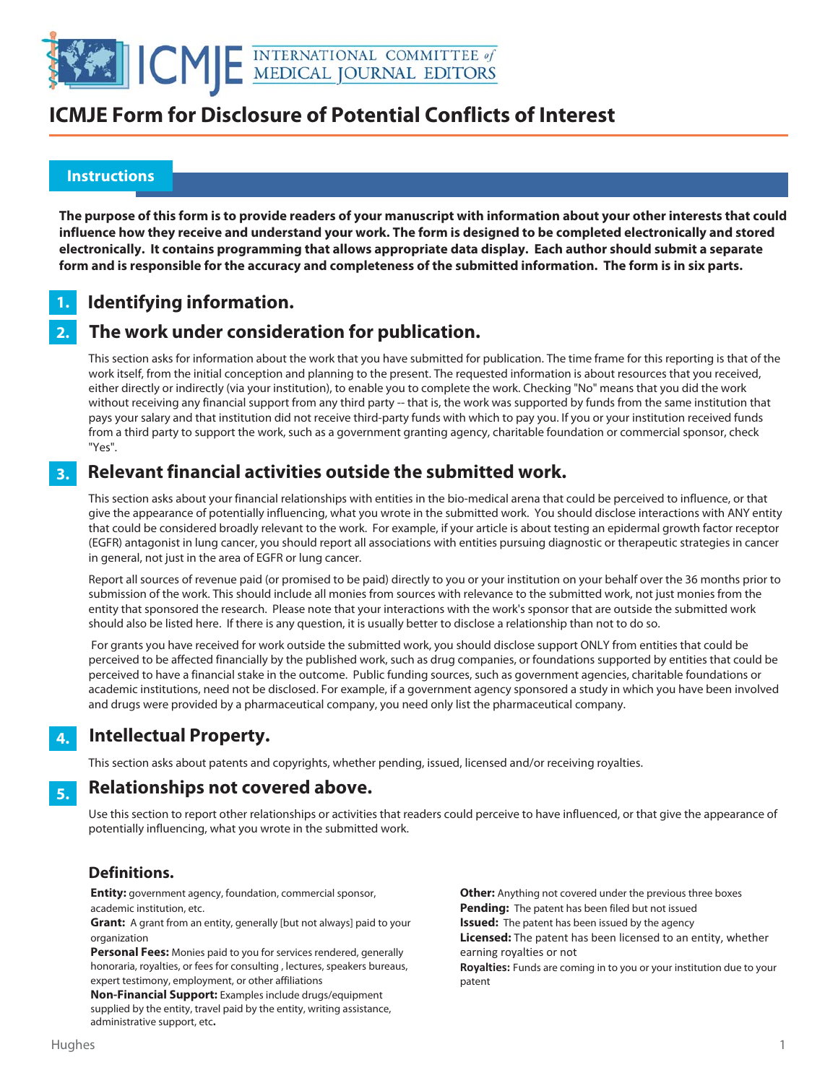

#### **Instructions**

 

> **The purpose of this form is to provide readers of your manuscript with information about your other interests that could influence how they receive and understand your work. The form is designed to be completed electronically and stored electronically. It contains programming that allows appropriate data display. Each author should submit a separate form and is responsible for the accuracy and completeness of the submitted information. The form is in six parts.**

#### **Identifying information. 1.**

#### **The work under consideration for publication. 2.**

This section asks for information about the work that you have submitted for publication. The time frame for this reporting is that of the work itself, from the initial conception and planning to the present. The requested information is about resources that you received, either directly or indirectly (via your institution), to enable you to complete the work. Checking "No" means that you did the work without receiving any financial support from any third party -- that is, the work was supported by funds from the same institution that pays your salary and that institution did not receive third-party funds with which to pay you. If you or your institution received funds from a third party to support the work, such as a government granting agency, charitable foundation or commercial sponsor, check "Yes".

#### **Relevant financial activities outside the submitted work. 3.**

This section asks about your financial relationships with entities in the bio-medical arena that could be perceived to influence, or that give the appearance of potentially influencing, what you wrote in the submitted work. You should disclose interactions with ANY entity that could be considered broadly relevant to the work. For example, if your article is about testing an epidermal growth factor receptor (EGFR) antagonist in lung cancer, you should report all associations with entities pursuing diagnostic or therapeutic strategies in cancer in general, not just in the area of EGFR or lung cancer.

Report all sources of revenue paid (or promised to be paid) directly to you or your institution on your behalf over the 36 months prior to submission of the work. This should include all monies from sources with relevance to the submitted work, not just monies from the entity that sponsored the research. Please note that your interactions with the work's sponsor that are outside the submitted work should also be listed here. If there is any question, it is usually better to disclose a relationship than not to do so.

 For grants you have received for work outside the submitted work, you should disclose support ONLY from entities that could be perceived to be affected financially by the published work, such as drug companies, or foundations supported by entities that could be perceived to have a financial stake in the outcome. Public funding sources, such as government agencies, charitable foundations or academic institutions, need not be disclosed. For example, if a government agency sponsored a study in which you have been involved and drugs were provided by a pharmaceutical company, you need only list the pharmaceutical company.

#### **Intellectual Property. 4.**

This section asks about patents and copyrights, whether pending, issued, licensed and/or receiving royalties.

#### **Relationships not covered above. 5.**

Use this section to report other relationships or activities that readers could perceive to have influenced, or that give the appearance of potentially influencing, what you wrote in the submitted work.

#### **Definitions.**

**Entity:** government agency, foundation, commercial sponsor, academic institution, etc.

**Grant:** A grant from an entity, generally [but not always] paid to your organization

**Personal Fees:** Monies paid to you for services rendered, generally honoraria, royalties, or fees for consulting , lectures, speakers bureaus, expert testimony, employment, or other affiliations

**Non-Financial Support:** Examples include drugs/equipment supplied by the entity, travel paid by the entity, writing assistance, administrative support, etc**.**

**Other:** Anything not covered under the previous three boxes **Pending:** The patent has been filed but not issued **Issued:** The patent has been issued by the agency **Licensed:** The patent has been licensed to an entity, whether earning royalties or not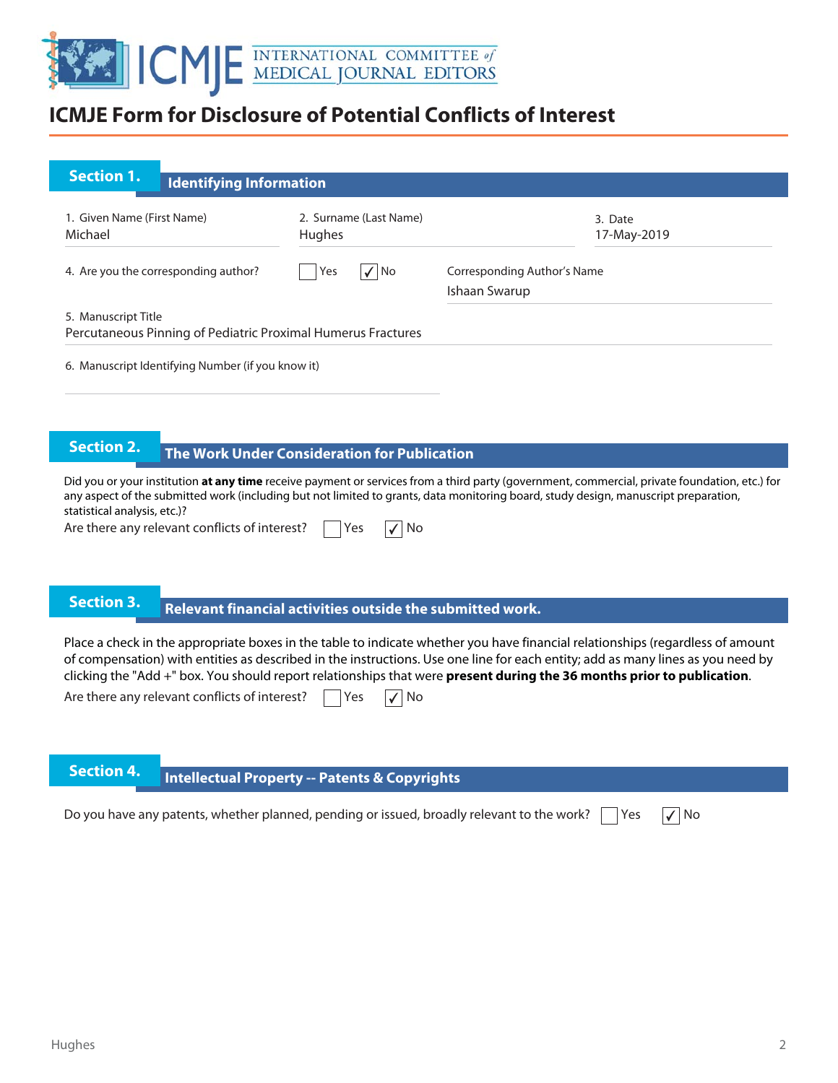

| <b>Section 1.</b><br><b>Identifying Information</b>                                 |                                         |                                              |
|-------------------------------------------------------------------------------------|-----------------------------------------|----------------------------------------------|
| 1. Given Name (First Name)<br>Michael                                               | 2. Surname (Last Name)<br><b>Hughes</b> | 3. Date<br>17-May-2019                       |
| 4. Are you the corresponding author?                                                | Yes<br>$\sqrt{ N_{0}}$                  | Corresponding Author's Name<br>Ishaan Swarup |
| 5. Manuscript Title<br>Percutaneous Pinning of Pediatric Proximal Humerus Fractures |                                         |                                              |

# **The Work Under Consideration for Publication**

Did you or your institution **at any time** receive payment or services from a third party (government, commercial, private foundation, etc.) for any aspect of the submitted work (including but not limited to grants, data monitoring board, study design, manuscript preparation, statistical analysis, etc.)?

Are there any relevant conflicts of interest?  $\Box$  Yes

|  | ۰.<br>× |
|--|---------|
|--|---------|

# **Relevant financial activities outside the submitted work. Section 3. Relevant financial activities outset**

Place a check in the appropriate boxes in the table to indicate whether you have financial relationships (regardless of amount of compensation) with entities as described in the instructions. Use one line for each entity; add as many lines as you need by clicking the "Add +" box. You should report relationships that were **present during the 36 months prior to publication**.

Are there any relevant conflicts of interest?  $\Box$  Yes  $\Box$  No

# **Intellectual Property -- Patents & Copyrights**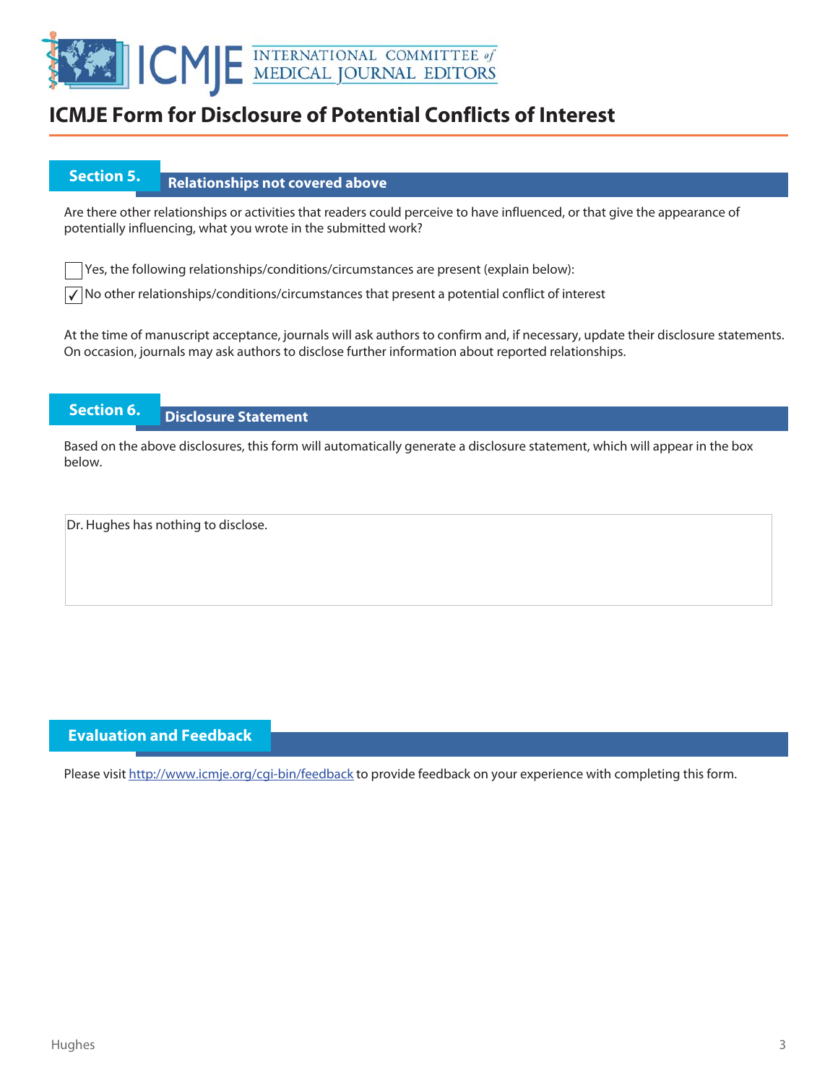

### **Section 5.** Relationships not covered above

Are there other relationships or activities that readers could perceive to have influenced, or that give the appearance of potentially influencing, what you wrote in the submitted work?

Yes, the following relationships/conditions/circumstances are present (explain below):

 $\sqrt{\ }$  No other relationships/conditions/circumstances that present a potential conflict of interest

At the time of manuscript acceptance, journals will ask authors to confirm and, if necessary, update their disclosure statements. On occasion, journals may ask authors to disclose further information about reported relationships.

### **Section 6. Disclosure Statement**

Based on the above disclosures, this form will automatically generate a disclosure statement, which will appear in the box below.

Dr. Hughes has nothing to disclose.

#### **Evaluation and Feedback**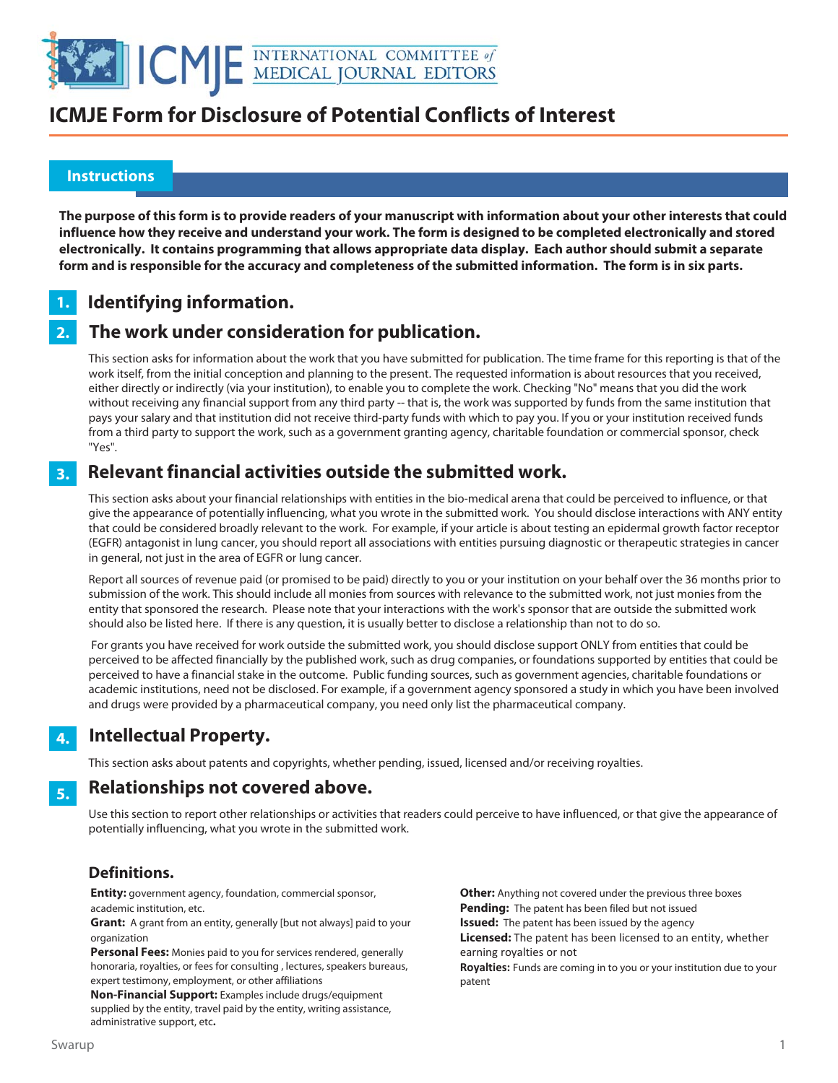

#### **Instructions**

 

> **The purpose of this form is to provide readers of your manuscript with information about your other interests that could influence how they receive and understand your work. The form is designed to be completed electronically and stored electronically. It contains programming that allows appropriate data display. Each author should submit a separate form and is responsible for the accuracy and completeness of the submitted information. The form is in six parts.**

#### **Identifying information. 1.**

#### **The work under consideration for publication. 2.**

This section asks for information about the work that you have submitted for publication. The time frame for this reporting is that of the work itself, from the initial conception and planning to the present. The requested information is about resources that you received, either directly or indirectly (via your institution), to enable you to complete the work. Checking "No" means that you did the work without receiving any financial support from any third party -- that is, the work was supported by funds from the same institution that pays your salary and that institution did not receive third-party funds with which to pay you. If you or your institution received funds from a third party to support the work, such as a government granting agency, charitable foundation or commercial sponsor, check "Yes".

#### **Relevant financial activities outside the submitted work. 3.**

This section asks about your financial relationships with entities in the bio-medical arena that could be perceived to influence, or that give the appearance of potentially influencing, what you wrote in the submitted work. You should disclose interactions with ANY entity that could be considered broadly relevant to the work. For example, if your article is about testing an epidermal growth factor receptor (EGFR) antagonist in lung cancer, you should report all associations with entities pursuing diagnostic or therapeutic strategies in cancer in general, not just in the area of EGFR or lung cancer.

Report all sources of revenue paid (or promised to be paid) directly to you or your institution on your behalf over the 36 months prior to submission of the work. This should include all monies from sources with relevance to the submitted work, not just monies from the entity that sponsored the research. Please note that your interactions with the work's sponsor that are outside the submitted work should also be listed here. If there is any question, it is usually better to disclose a relationship than not to do so.

 For grants you have received for work outside the submitted work, you should disclose support ONLY from entities that could be perceived to be affected financially by the published work, such as drug companies, or foundations supported by entities that could be perceived to have a financial stake in the outcome. Public funding sources, such as government agencies, charitable foundations or academic institutions, need not be disclosed. For example, if a government agency sponsored a study in which you have been involved and drugs were provided by a pharmaceutical company, you need only list the pharmaceutical company.

#### **Intellectual Property. 4.**

This section asks about patents and copyrights, whether pending, issued, licensed and/or receiving royalties.

#### **Relationships not covered above. 5.**

Use this section to report other relationships or activities that readers could perceive to have influenced, or that give the appearance of potentially influencing, what you wrote in the submitted work.

#### **Definitions.**

**Entity:** government agency, foundation, commercial sponsor, academic institution, etc.

**Grant:** A grant from an entity, generally [but not always] paid to your organization

**Personal Fees:** Monies paid to you for services rendered, generally honoraria, royalties, or fees for consulting , lectures, speakers bureaus, expert testimony, employment, or other affiliations

**Non-Financial Support:** Examples include drugs/equipment supplied by the entity, travel paid by the entity, writing assistance, administrative support, etc**.**

**Other:** Anything not covered under the previous three boxes **Pending:** The patent has been filed but not issued **Issued:** The patent has been issued by the agency **Licensed:** The patent has been licensed to an entity, whether earning royalties or not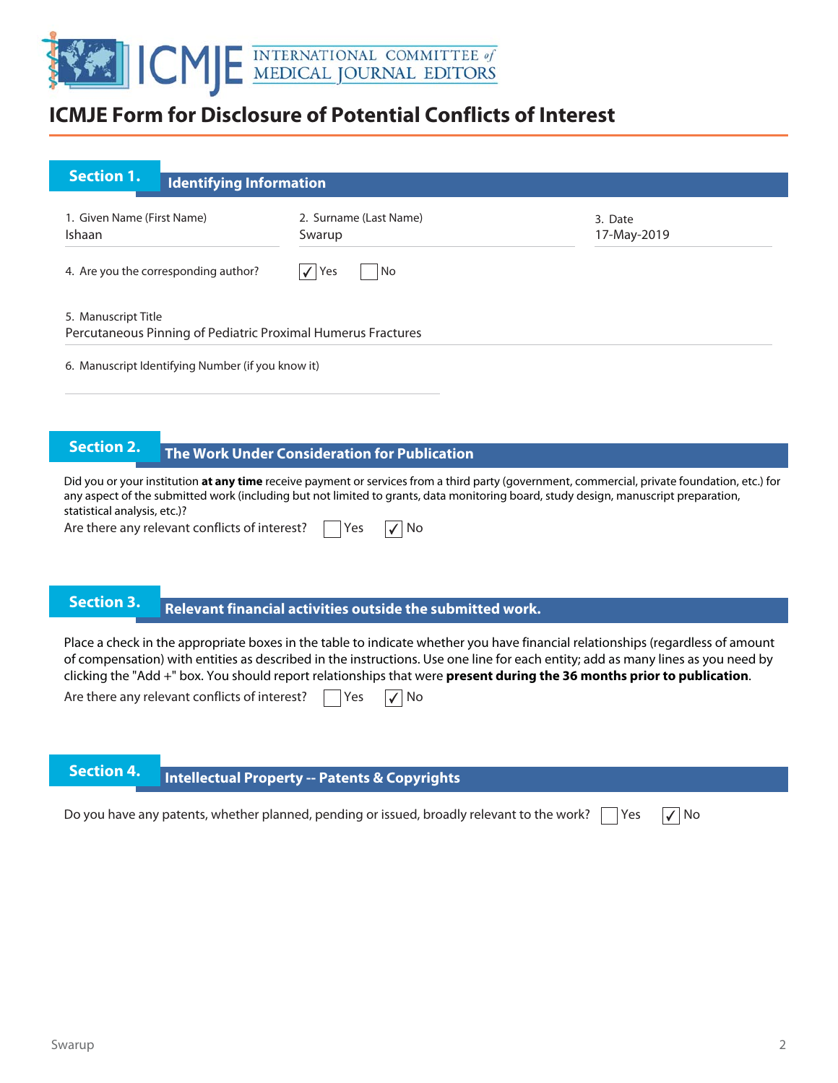

| <b>Section 1.</b>                    | <b>Identifying Information</b>                    |                                                              |                        |
|--------------------------------------|---------------------------------------------------|--------------------------------------------------------------|------------------------|
| 1. Given Name (First Name)<br>Ishaan |                                                   | 2. Surname (Last Name)<br>Swarup                             | 3. Date<br>17-May-2019 |
| 4. Are you the corresponding author? |                                                   | $\sqrt{\vert \gamma_{\rm{es}}\vert}$<br>  No                 |                        |
| 5. Manuscript Title                  |                                                   | Percutaneous Pinning of Pediatric Proximal Humerus Fractures |                        |
|                                      | 6. Manuscript Identifying Number (if you know it) |                                                              |                        |

# **The Work Under Consideration for Publication**

Did you or your institution **at any time** receive payment or services from a third party (government, commercial, private foundation, etc.) for any aspect of the submitted work (including but not limited to grants, data monitoring board, study design, manuscript preparation, statistical analysis, etc.)?

Are there any relevant conflicts of interest?  $\Box$  Yes  $\Box$  No

### **Relevant financial activities outside the submitted work. Section 3. Relevant financial activities outset**

Place a check in the appropriate boxes in the table to indicate whether you have financial relationships (regardless of amount of compensation) with entities as described in the instructions. Use one line for each entity; add as many lines as you need by clicking the "Add +" box. You should report relationships that were **present during the 36 months prior to publication**.

Are there any relevant conflicts of interest?  $\Box$  Yes  $\Box$  No

# **Intellectual Property -- Patents & Copyrights**